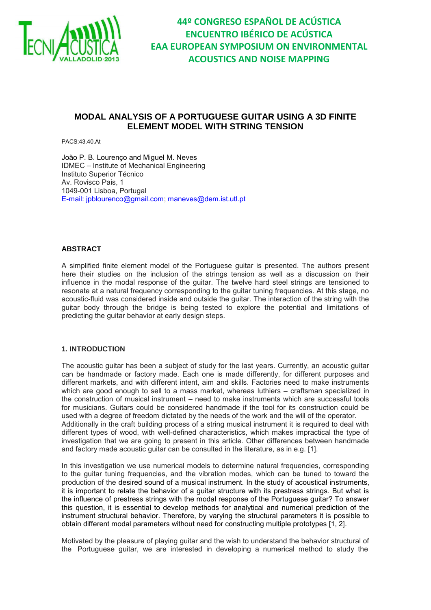

**44º CONGRESO ESPAÑOL DE ACÚSTICA ENCUENTRO IBÉRICO DE ACÚSTICA EAA EUROPEAN SYMPOSIUM ON ENVIRONMENTAL ACOUSTICS AND NOISE MAPPING**

# **MODAL ANALYSIS OF A PORTUGUESE GUITAR USING A 3D FINITE ELEMENT MODEL WITH STRING TENSION**

PACS:43.40.At

João P. B. Lourenço and Miguel M. Neves IDMEC – Institute of Mechanical Engineering Instituto Superior Técnico Av. Rovisco Pais, 1 1049-001 Lisboa, Portugal E-mail: jpblourenco@gmail.com; maneves@dem.ist.utl.pt

### **ABSTRACT**

A simplified finite element model of the Portuguese guitar is presented. The authors present here their studies on the inclusion of the strings tension as well as a discussion on their influence in the modal response of the guitar. The twelve hard steel strings are tensioned to resonate at a natural frequency corresponding to the guitar tuning frequencies. At this stage, no acoustic-fluid was considered inside and outside the guitar. The interaction of the string with the guitar body through the bridge is being tested to explore the potential and limitations of predicting the guitar behavior at early design steps.

### **1. INTRODUCTION**

The acoustic guitar has been a subject of study for the last years. Currently, an acoustic guitar can be handmade or factory made. Each one is made differently, for different purposes and different markets, and with different intent, aim and skills. Factories need to make instruments which are good enough to sell to a mass market, whereas luthiers - craftsman specialized in the construction of musical instrument – need to make instruments which are successful tools for musicians. Guitars could be considered handmade if the tool for its construction could be used with a degree of freedom dictated by the needs of the work and the will of the operator. Additionally in the craft building process of a string musical instrument it is required to deal with different types of wood, with well-defined characteristics, which makes impractical the type of investigation that we are going to present in this article. Other differences between handmade and factory made acoustic guitar can be consulted in the literature, as in e.g. [1].

In this investigation we use numerical models to determine natural frequencies, corresponding to the guitar tuning frequencies, and the vibration modes, which can be tuned to toward the production of the desired sound of a musical instrument. In the study of acoustical instruments, it is important to relate the behavior of a guitar structure with its prestress strings. But what is the influence of prestress strings with the modal response of the Portuguese guitar? To answer this question, it is essential to develop methods for analytical and numerical prediction of the instrument structural behavior. Therefore, by varying the structural parameters it is possible to obtain different modal parameters without need for constructing multiple prototypes [1, 2].

Motivated by the pleasure of playing guitar and the wish to understand the behavior structural of the Portuguese guitar, we are interested in developing a numerical method to study the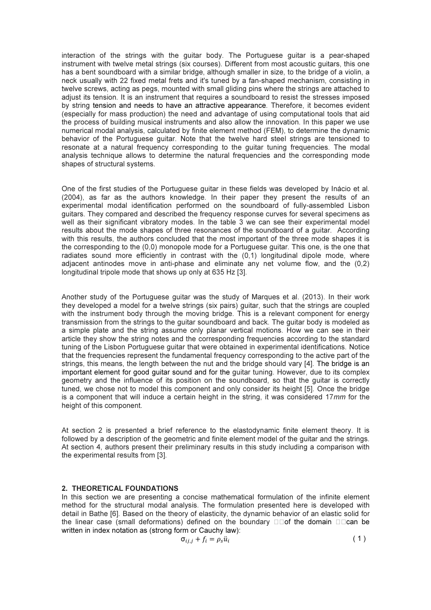interaction of the strings with the guitar body. The Portuguese guitar is a pear-shaped instrument with twelve metal strings (six courses). Different from most acoustic guitars, this one has a bent soundboard with a similar bridge, although smaller in size, to the bridge of a violin, a neck usually with 22 fixed metal frets and it's tuned by a fan-shaped mechanism, consisting in twelve screws, acting as pegs, mounted with small gliding pins where the strings are attached to adjust its tension. It is an instrument that requires a soundboard to resist the stresses imposed by string tension and needs to have an attractive appearance. Therefore, it becomes evident (especially for mass production) the need and advantage of using computational tools that aid the process of building musical instruments and also allow the innovation. In this paper we use numerical modal analysis, calculated by finite element method (FEM), to determine the dynamic behavior of the Portuguese guitar. Note that the twelve hard steel strings are tensioned to resonate at a natural frequency corresponding to the guitar tuning frequencies. The modal analysis technique allows to determine the natural frequencies and the corresponding mode shapes of structural systems.

One of the first studies of the Portuguese guitar in these fields was developed by Inácio et al. (2004), as far as the authors knowledge. In their paper they present the results of an experimental modal identification performed on the soundboard of fully-assembled Lisbon guitars. They compared and described the frequency response curves for several specimens as well as their significant vibratory modes. In the table 3 we can see their experimental model results about the mode shapes of three resonances of the soundboard of a guitar. According with this results, the authors concluded that the most important of the three mode shapes it is the corresponding to the (0,0) monopole mode for a Portuguese guitar. This one, is the one that radiates sound more efficiently in contrast with the (0,1) longitudinal dipole mode, where adjacent antinodes move in anti-phase and eliminate any net volume flow, and the (0,2) longitudinal tripole mode that shows up only at 635 Hz [3].

Another study of the Portuguese guitar was the study of Marques et al. (2013). In their work they developed a model for a twelve strings (six pairs) guitar, such that the strings are coupled with the instrument body through the moving bridge. This is a relevant component for energy transmission from the strings to the guitar soundboard and back. The guitar body is modeled as a simple plate and the string assume only planar vertical motions. How we can see in their article they show the string notes and the corresponding frequencies according to the standard tuning of the Lisbon Portuguese guitar that were obtained in experimental identifications. Notice that the frequencies represent the fundamental frequency corresponding to the active part of the strings, this means, the length between the nut and the bridge should vary [4]. The bridge is an important element for good guitar sound and for the guitar tuning. However, due to its complex geometry and the influence of its position on the soundboard, so that the guitar is correctly tuned, we chose not to model this component and only consider its height [5]. Once the bridge is a component that will induce a certain height in the string, it was considered 17mm for the height of this component.

At section 2 is presented a brief reference to the elastodynamic finite element theory. It is followed by a description of the geometric and finite element model of the guitar and the strings. At section 4, authors present their preliminary results in this study including a comparison with the experimental results from [3].

## 2. THEORETICAL FOUNDATIONS

In this section we are presenting a concise mathematical formulation of the infinite element method for the structural modal analysis. The formulation presented here is developed with detail in Bathe [6]. Based on the theory of elasticity, the dynamic behavior of an elastic solid for the linear case (small deformations) defined on the boundary  $\Box$   $\Box$  of the domain  $\Box$   $\Box$  can be written in index notation as (strong form or Cauchy law):

$$
\sigma_{ij,j} + f_i = \rho_s \ddot{u}_i \tag{1}
$$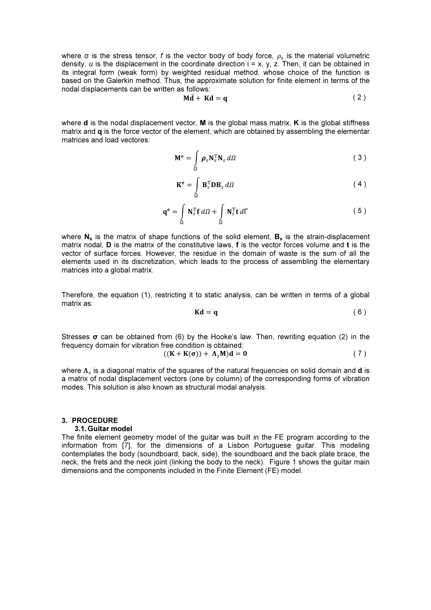where  $\sigma$  is the stress tensor, f is the vector body of body force,  $\rho_{s}$  is the material volumetric density,  $u$  is the displacement in the coordinate direction  $i = x$ ,  $y$ ,  $z$ . Then, it can be obtained in its integral form (weak form) by weighted residual method, whose choice of the function is based on the Galerkin method. Thus, the approximate solution for finite element in terms of the nodal displacements can be written as follows:

$$
M\ddot{d} + Kd = q \tag{2}
$$

where  $\bf d$  is the nodal displacement vector,  $\bf M$  is the global mass matrix,  $\bf K$  is the global stiffness matrix and  $q$  is the force vector of the element, which are obtained by assembling the elementar matrices and load vectores:

$$
\mathbf{M}^{\mathbf{e}} = \int_{\Omega} \boldsymbol{\rho}_s \mathbf{N}_s^{\mathrm{T}} \mathbf{N}_s \, d\Omega \tag{3}
$$

$$
\mathbf{K}^{\mathbf{e}} = \int_{\Omega} \mathbf{B}_{s}^{T} \mathbf{D} \mathbf{B}_{s} d\Omega
$$
 (4)

$$
\mathbf{q}^{\mathbf{e}} = \int_{\Omega} \mathbf{N}_s^{\mathrm{T}} \mathbf{f} \, d\Omega + \int_{\Omega} \mathbf{N}_s^{\mathrm{T}} \mathbf{t} \, d\Gamma \tag{5}
$$

where  $N_s$  is the matrix of shape functions of the solid element,  $B_s$  is the strain-displacement matrix nodal, D is the matrix of the constitutive laws, f is the vector forces volume and t is the vector of surface forces. However, the residue in the domain of waste is the sum of all the elements used in its discretization, which leads to the process of assembling the elementary matrices into a global matrix.

Therefore, the equation (1), restricting it to static analysis, can be written in terms of a global matrix as:

$$
Kd = q
$$
 (6)

Stresses  $\sigma$  can be obtained from (6) by the Hooke's law. Then, rewriting equation (2) in the frequency domain for vibration free condition is obtained:

$$
((K + K(\sigma)) + \Lambda_s M)d = 0
$$
 (7)

where  $\bm{\Lambda}_s$  is a diagonal matrix of the squares of the natural frequencies on solid domain and **d** is a matrix of nodal displacement vectors (one by column) of the corresponding forms of vibration modes. This solution is also known as structural modal analysis.

### 3. PROCEDURE

#### 3.1. Guitar model

The finite element geometry model of the guitar was built in the FE program according to the information from [7], for the dimensions of a Lisbon Portuguese guitar. This modeling contemplates the body (soundboard, back, side), the soundboard and the back plate brace, the neck, the frets and the neck joint (linking the body to the neck). Figure 1 shows the guitar main dimensions and the components included in the Finite Element (FE) model.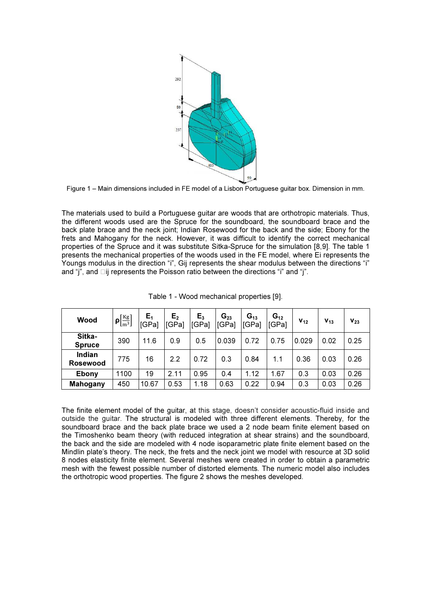

Figure 1 – Main dimensions included in FE model of a Lisbon Portuguese guitar box. Dimension in mm.

The materials used to build a Portuguese guitar are woods that are orthotropic materials. Thus, the different woods used are the Spruce for the soundboard, the soundboard brace and the back plate brace and the neck joint; Indian Rosewood for the back and the side; Ebony for the frets and Mahogany for the neck. However, it was difficult to identify the correct mechanical properties of the Spruce and it was substitute Sitka-Spruce for the simulation [8,9]. The table 1 presents the mechanical properties of the woods used in the FE model, where Ei represents the Youngs modulus in the direction "i", Gij represents the shear modulus between the directions "i" and "j", and  $\square$ ij represents the Poisson ratio between the directions "i" and "j".

| Wood                      | $\rho\left[\frac{\text{Kg}}{\text{m}^3}\right]$ | $E_1$<br>[GPa] | E <sub>2</sub><br>[GPa] | $E_3$<br>[GPa] | $G_{23}$<br>[GPa] | $G_{13}$<br>[GPa] | $G_{12}$<br><b>IGPal</b> | $V_{12}$ | $V_{13}$ | $V_{23}$ |
|---------------------------|-------------------------------------------------|----------------|-------------------------|----------------|-------------------|-------------------|--------------------------|----------|----------|----------|
| Sitka-<br><b>Spruce</b>   | 390                                             | 11.6           | 0.9                     | 0.5            | 0.039             | 0.72              | 0.75                     | 0.029    | 0.02     | 0.25     |
| Indian<br><b>Rosewood</b> | 775                                             | 16             | 2.2                     | 0.72           | 0.3               | 0.84              | 1.1                      | 0.36     | 0.03     | 0.26     |
| <b>Ebony</b>              | 1100                                            | 19             | 2.11                    | 0.95           | 0.4               | 1.12              | 1.67                     | 0.3      | 0.03     | 0.26     |
| <b>Mahogany</b>           | 450                                             | 10.67          | 0.53                    | 1.18           | 0.63              | 0.22              | 0.94                     | 0.3      | 0.03     | 0.26     |

Table 1 - Wood mechanical properties [9].

The finite element model of the guitar, at this stage, doesn't consider acoustic-fluid inside and outside the guitar. The structural is modeled with three different elements. Thereby, for the soundboard brace and the back plate brace we used a 2 node beam finite element based on the Timoshenko beam theory (with reduced integration at shear strains) and the soundboard, the back and the side are modeled with 4 node isoparametric plate finite element based on the Mindlin plate's theory. The neck, the frets and the neck joint we model with resource at 3D solid 8 nodes elasticity finite element. Several meshes were created in order to obtain a parametric mesh with the fewest possible number of distorted elements. The numeric model also includes the orthotropic wood properties. The figure 2 shows the meshes developed.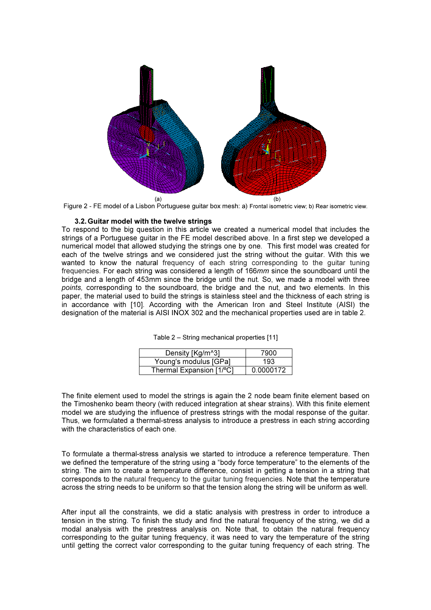



#### 3.2. Guitar model with the twelve strings

To respond to the big question in this article we created a numerical model that includes the strings of a Portuguese guitar in the FE model described above. In a first step we developed a numerical model that allowed studying the strings one by one. This first model was created for each of the twelve strings and we considered just the string without the guitar. With this we wanted to know the natural frequency of each string corresponding to the guitar tuning frequencies. For each string was considered a length of 166mm since the soundboard until the bridge and a length of 453mm since the bridge until the nut. So, we made a model with three points, corresponding to the soundboard, the bridge and the nut, and two elements. In this paper, the material used to build the strings is stainless steel and the thickness of each string is in accordance with [10]. According with the American Iron and Steel Institute (AISI) the ]. designation of the material is AISI INOX 302 and the mechanical properties used are in table 2.

| Density [Kg/m^3]         | 7900      |
|--------------------------|-----------|
| Young's modulus [GPa]    | 193       |
| Thermal Expansion [1/°C] | 0.0000172 |

The finite element used to model the strings is again the 2 node beam finite element based on the Timoshenko beam theory (with reduced integration at shear strains). With this finite element model we are studying the influence of prestress strings with the modal response of the guitar. Thus, we formulated a thermal-stress analysis to introduce a prestress in each string according with the characteristics of each one.

To formulate a thermal-stress analysis we started to introduce a reference temperature. Then Thus, we formulated a thermal-stress analysis to introduce a prestress in each string according<br>with the characteristics of each one.<br>To formulate a thermal-stress analysis we started to introduce a reference temperature. string. The aim to create a temperature difference, consist in getting a tension in a string that string. The aim to create a temperature difference, consist in getting a tension in a string that<br>corresponds to the natural frequency to the guitar tuning frequencies. Note that the temperature across the string needs to be uniform so that the tension along the string will be uniform as well.

After input all the constraints, we did a static analysis with prestress in order to introduce a tension in the string. To finish the study and find the natural frequency of the string, we did a modal analysis with the prestress analysis on. Note that, to obtain the natural frequency corresponding to the guitar tuning frequency, it was need to vary the temperature of the string until getting the correct valor corresponding to the guitar tuning frequency of each string. The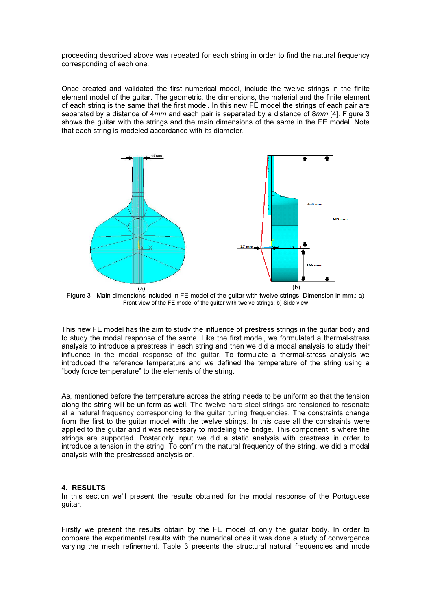proceeding described above was repeated for each string in order to find the natural frequency corresponding of each one.

Once created and validated the first numerical model, include the twelve strings in the finite element model of the guitar. The geometric, the dimensions, the material and the finite element of each string is the same that the first model. In this new FE model the strings of each pair are separated by a distance of 4mm and each pair is separated by a distance of 8mm [4]. Figure 3 shows the guitar with the strings and the main dimensions of the same in the FE model. Note that each string is modeled accordance with its diameter.



Figure 3 - Main dimensions included in FE model of the guitar with twelve strings. Dimension in mm.: a) Front view of the FE model of the guitar with twelve strings; b) Side view

This new FE model has the aim to study the influence of prestress strings in the guitar body and to study the modal response of the same. Like the first model, we formulated a thermal-stress analysis to introduce a prestress in each string and then we did a modal analysis to study their influence in the modal response of the guitar. To formulate a thermal-stress analysis we introduced the reference temperature and we defined the temperature of the string using a "body force temperature" to the elements of the string.

As, mentioned before the temperature across the string needs to be uniform so that the tension along the string will be uniform as well. The twelve hard steel strings are tensioned to resonate at a natural frequency corresponding to the guitar tuning frequencies. The constraints change from the first to the guitar model with the twelve strings. In this case all the constraints were applied to the guitar and it was necessary to modeling the bridge. This component is where the strings are supported. Posteriorly input we did a static analysis with prestress in order to introduce a tension in the string. To confirm the natural frequency of the string, we did a modal analysis with the prestressed analysis on.

### 4. RESULTS

In this section we'll present the results obtained for the modal response of the Portuguese guitar.

Firstly we present the results obtain by the FE model of only the guitar body. In order to compare the experimental results with the numerical ones it was done a study of convergence varying the mesh refinement. Table 3 presents the structural natural frequencies and mode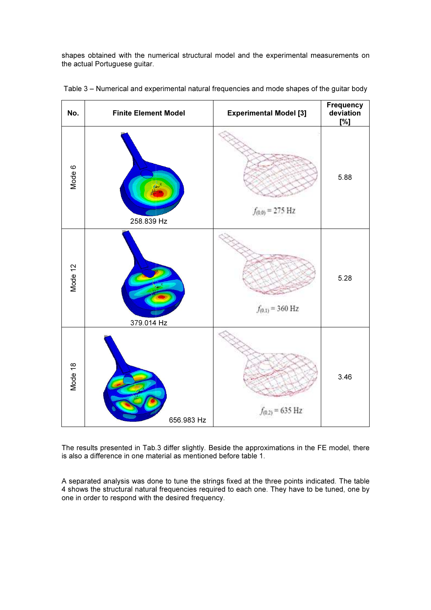shapes obtained with the numerical structural model and the experimental measurements on the actual Portuguese guitar.



Table 3 – Numerical and experimental natural frequencies and mode shapes of the guitar body

The results presented in Tab.3 differ slightly. Beside the approximations in the FE model, there is also a difference in one material as mentioned before table 1.

A separated analysis was done to tune the strings fixed at the three points indicated. The table 4 shows the structural natural frequencies required to each one. They have to be tuned, one by one in order to respond with the desired frequency.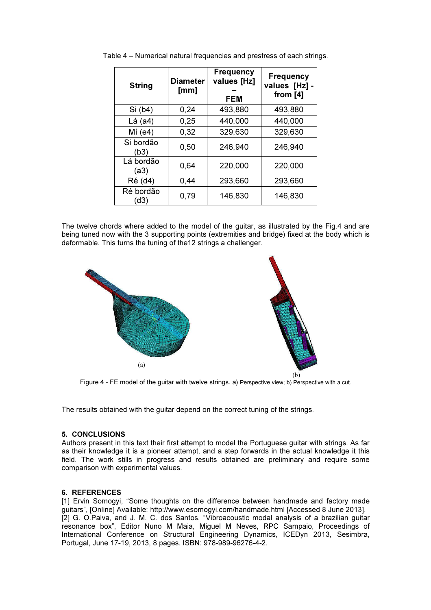| <b>String</b>     | <b>Diameter</b><br>[mm] | <b>Frequency</b><br>values [Hz]<br><b>FEM</b> | <b>Frequency</b><br>values [Hz] -<br>from $[4]$ |  |
|-------------------|-------------------------|-----------------------------------------------|-------------------------------------------------|--|
| Si (b4)           | 0,24                    | 493,880                                       | 493,880                                         |  |
| $Lá$ (a4)         | 0,25                    | 440,000                                       | 440,000                                         |  |
| Mí (e4)           | 0,32                    | 329,630                                       | 329,630                                         |  |
| Si bordão<br>(b3) | 0,50                    | 246,940                                       | 246,940                                         |  |
| Lá bordão<br>(a3) | 0.64                    | 220,000                                       | 220,000                                         |  |
| Ré (d4)           | 0,44                    | 293,660                                       | 293,660                                         |  |
| Ré bordão<br>(d3) | 0,79                    | 146,830                                       | 146,830                                         |  |

Table 4 – Numerical natural frequencies and prestress of each strings.

The twelve chords where added to the model of the guitar, as illustrated by the Fig.4 and are being tuned now with the 3 supporting points (extremities and bridge) fixed at the body which is deformable. This turns the tuning of the12 strings a challenger.



Figure 4 - FE model of the guitar with twelve strings. a) Perspective view; b) Perspective with a cut.

The results obtained with the guitar depend on the correct tuning of the strings.

### 5. CONCLUSIONS

Authors present in this text their first attempt to model the Portuguese guitar with strings. As far as their knowledge it is a pioneer attempt, and a step forwards in the actual knowledge it this field. The work stills in progress and results obtained are preliminary and require some comparison with experimental values.

### 6. REFERENCES

[1] Ervin Somogyi, "Some thoughts on the difference between handmade and factory made guitars", [Online] Available: http://www.esomogyi.com/handmade.html [Accessed 8 June 2013]. [2] G. O.Paiva, and J. M. C. dos Santos, "Vibroacoustic modal analysis of a brazilian guitar resonance box", Editor Nuno M Maia, Miguel M Neves, RPC Sampaio, Proceedings of International Conference on Structural Engineering Dynamics, ICEDyn 2013, Sesimbra, Portugal, June 17-19, 2013, 8 pages. ISBN: 978-989-96276-4-2.